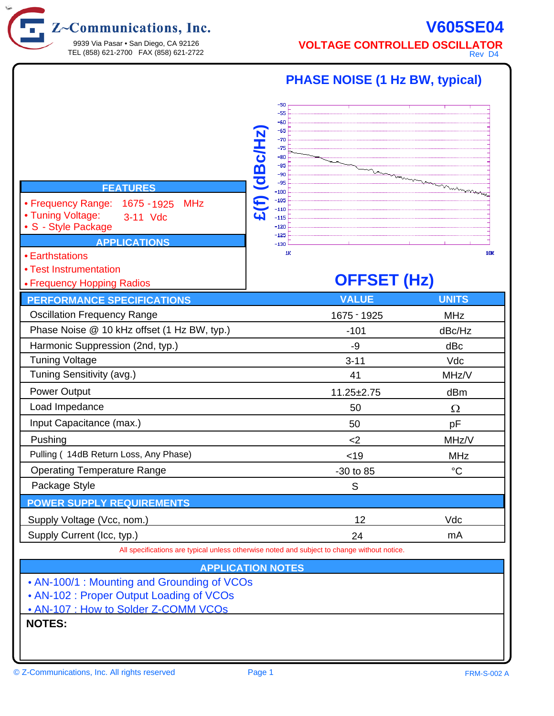$Z$ ~Communications, Inc.

9939 Via Pasar • San Diego, CA 92126 TEL (858) 621-2700 FAX (858) 621-2722

## **V605SE04 VOLTAGE CONTROLLED OSCILLATOR**

Rev D4

| <b>FEATURES</b><br>• Frequency Range:<br>1675 - 1925<br><b>MHz</b><br>• Tuning Voltage:<br>3-11 Vdc<br>• S - Style Package<br><b>APPLICATIONS</b><br>• Earthstations<br>• Test Instrumentation | -50<br>-55<br>-60<br>-65<br>£(f) (dBc/Hz<br>$-70$<br>$-75$<br>-80<br>-85<br>$-90$<br>$-95$<br>$-100$<br>$-105$<br>$-110$<br>$-115$<br>-120<br>$-125$<br>$-130$<br>1K | <b>PHASE NOISE (1 Hz BW, typical)</b><br><b>OFFSET (Hz)</b> | <b>10K</b>   |
|------------------------------------------------------------------------------------------------------------------------------------------------------------------------------------------------|----------------------------------------------------------------------------------------------------------------------------------------------------------------------|-------------------------------------------------------------|--------------|
| • Frequency Hopping Radios<br><b>PERFORMANCE SPECIFICATIONS</b>                                                                                                                                |                                                                                                                                                                      | <b>VALUE</b>                                                | <b>UNITS</b> |
| <b>Oscillation Frequency Range</b>                                                                                                                                                             |                                                                                                                                                                      | 1675 - 1925                                                 | <b>MHz</b>   |
| Phase Noise @ 10 kHz offset (1 Hz BW, typ.)                                                                                                                                                    |                                                                                                                                                                      | $-101$                                                      | dBc/Hz       |
| Harmonic Suppression (2nd, typ.)                                                                                                                                                               |                                                                                                                                                                      | -9                                                          | dBc          |
| <b>Tuning Voltage</b>                                                                                                                                                                          |                                                                                                                                                                      | $3 - 11$                                                    | Vdc          |
| Tuning Sensitivity (avg.)                                                                                                                                                                      |                                                                                                                                                                      | 41                                                          | MHz/V        |
| Power Output                                                                                                                                                                                   |                                                                                                                                                                      | $11.25 \pm 2.75$                                            | dBm          |
| Load Impedance                                                                                                                                                                                 |                                                                                                                                                                      | 50                                                          | Ω            |
| Input Capacitance (max.)                                                                                                                                                                       |                                                                                                                                                                      | 50                                                          | pF           |
| Pushing                                                                                                                                                                                        |                                                                                                                                                                      | $<$ 2                                                       | MHz/V        |
| Pulling (14dB Return Loss, Any Phase)                                                                                                                                                          |                                                                                                                                                                      | < 19                                                        | <b>MHz</b>   |
| <b>Operating Temperature Range</b>                                                                                                                                                             |                                                                                                                                                                      | $-30$ to 85                                                 | $^{\circ}C$  |
| Package Style                                                                                                                                                                                  |                                                                                                                                                                      | S                                                           |              |
| <b>POWER SUPPLY REQUIREMENTS</b>                                                                                                                                                               |                                                                                                                                                                      |                                                             |              |
| Supply Voltage (Vcc, nom.)                                                                                                                                                                     |                                                                                                                                                                      | 12                                                          | Vdc          |
| Supply Current (Icc, typ.)                                                                                                                                                                     |                                                                                                                                                                      | 24                                                          | mA           |
| All specifications are typical unless otherwise noted and subject to change without notice.                                                                                                    |                                                                                                                                                                      |                                                             |              |
| <b>APPLICATION NOTES</b>                                                                                                                                                                       |                                                                                                                                                                      |                                                             |              |
| • AN-100/1 : Mounting and Grounding of VCOs<br>• AN-102 : Proper Output Loading of VCOs<br>. AN-107 : How to Solder Z-COMM VCOs<br><b>NOTES:</b>                                               |                                                                                                                                                                      |                                                             |              |